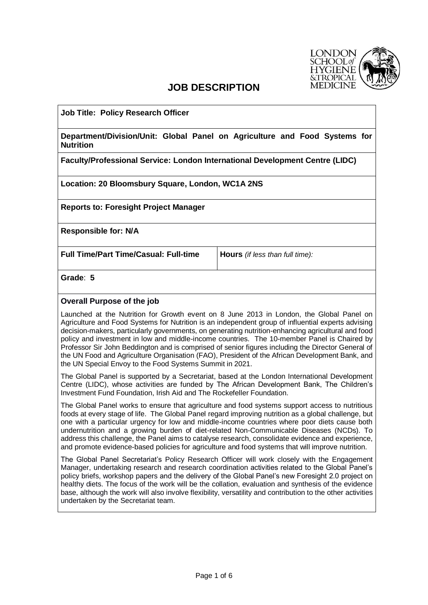

# **JOB DESCRIPTION**

**Job Title: Policy Research Officer**

**Department/Division/Unit: Global Panel on Agriculture and Food Systems for Nutrition**

**Faculty/Professional Service: London International Development Centre (LIDC)**

**Location: 20 Bloomsbury Square, London, WC1A 2NS**

**Reports to: Foresight Project Manager**

**Responsible for: N/A**

**Full Time/Part Time/Casual: Full-time Hours** *(if less than full time):*

**Grade**: **5**

# **Overall Purpose of the job**

Launched at the Nutrition for Growth event on 8 June 2013 in London, the Global Panel on Agriculture and Food Systems for Nutrition is an independent group of influential experts advising decision-makers, particularly governments, on generating nutrition-enhancing agricultural and food policy and investment in low and middle-income countries. The 10-member Panel is Chaired by Professor Sir John Beddington and is comprised of senior figures including the Director General of the UN Food and Agriculture Organisation (FAO), President of the African Development Bank, and the UN Special Envoy to the Food Systems Summit in 2021.

The Global Panel is supported by a Secretariat, based at the London International Development Centre (LIDC), whose activities are funded by The African Development Bank, The Children's Investment Fund Foundation, Irish Aid and The Rockefeller Foundation.

The Global Panel works to ensure that agriculture and food systems support access to nutritious foods at every stage of life. The Global Panel regard improving nutrition as a global challenge, but one with a particular urgency for low and middle-income countries where poor diets cause both undernutrition and a growing burden of diet-related Non-Communicable Diseases (NCDs). To address this challenge, the Panel aims to catalyse research, consolidate evidence and experience, and promote evidence-based policies for agriculture and food systems that will improve nutrition.

The Global Panel Secretariat's Policy Research Officer will work closely with the Engagement Manager, undertaking research and research coordination activities related to the Global Panel's policy briefs, workshop papers and the delivery of the Global Panel's new Foresight 2.0 project on healthy diets. The focus of the work will be the collation, evaluation and synthesis of the evidence base, although the work will also involve flexibility, versatility and contribution to the other activities undertaken by the Secretariat team.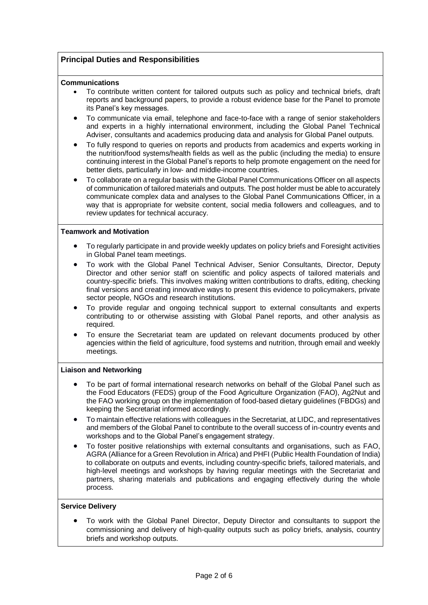## **Principal Duties and Responsibilities**

#### **Communications**

- To contribute written content for tailored outputs such as policy and technical briefs, draft reports and background papers, to provide a robust evidence base for the Panel to promote its Panel's key messages.
- To communicate via email, telephone and face-to-face with a range of senior stakeholders and experts in a highly international environment, including the Global Panel Technical Adviser, consultants and academics producing data and analysis for Global Panel outputs.
- To fully respond to queries on reports and products from academics and experts working in the nutrition/food systems/health fields as well as the public (including the media) to ensure continuing interest in the Global Panel's reports to help promote engagement on the need for better diets, particularly in low- and middle-income countries.
- To collaborate on a regular basis with the Global Panel Communications Officer on all aspects of communication of tailored materials and outputs. The post holder must be able to accurately communicate complex data and analyses to the Global Panel Communications Officer, in a way that is appropriate for website content, social media followers and colleagues, and to review updates for technical accuracy.

## **Teamwork and Motivation**

- To regularly participate in and provide weekly updates on policy briefs and Foresight activities in Global Panel team meetings.
- To work with the Global Panel Technical Adviser, Senior Consultants, Director, Deputy Director and other senior staff on scientific and policy aspects of tailored materials and country-specific briefs. This involves making written contributions to drafts, editing, checking final versions and creating innovative ways to present this evidence to policymakers, private sector people, NGOs and research institutions.
- To provide regular and ongoing technical support to external consultants and experts contributing to or otherwise assisting with Global Panel reports, and other analysis as required.
- To ensure the Secretariat team are updated on relevant documents produced by other agencies within the field of agriculture, food systems and nutrition, through email and weekly meetings.

#### **Liaison and Networking**

- To be part of formal international research networks on behalf of the Global Panel such as the Food Educators (FEDS) group of the Food Agriculture Organization (FAO), Ag2Nut and the FAO working group on the implementation of food-based dietary guidelines (FBDGs) and keeping the Secretariat informed accordingly.
- To maintain effective relations with colleagues in the Secretariat, at LIDC, and representatives and members of the Global Panel to contribute to the overall success of in-country events and workshops and to the Global Panel's engagement strategy.
- To foster positive relationships with external consultants and organisations, such as FAO, AGRA (Alliance for a Green Revolution in Africa) and PHFI (Public Health Foundation of India) to collaborate on outputs and events, including country-specific briefs, tailored materials, and high-level meetings and workshops by having regular meetings with the Secretariat and partners, sharing materials and publications and engaging effectively during the whole process.

#### **Service Delivery**

• To work with the Global Panel Director, Deputy Director and consultants to support the commissioning and delivery of high-quality outputs such as policy briefs, analysis, country briefs and workshop outputs.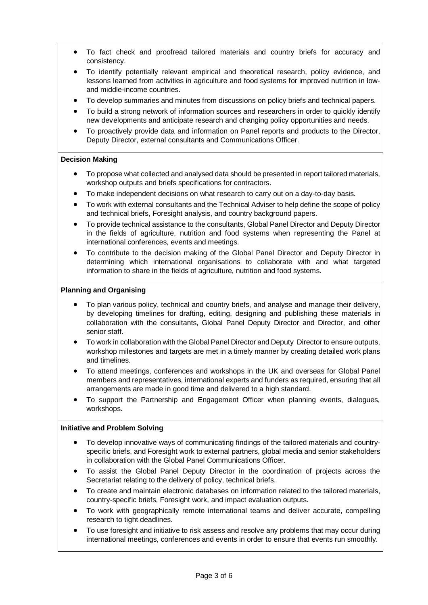- To fact check and proofread tailored materials and country briefs for accuracy and consistency.
- To identify potentially relevant empirical and theoretical research, policy evidence, and lessons learned from activities in agriculture and food systems for improved nutrition in lowand middle-income countries.
- To develop summaries and minutes from discussions on policy briefs and technical papers.
- To build a strong network of information sources and researchers in order to quickly identify new developments and anticipate research and changing policy opportunities and needs.
- To proactively provide data and information on Panel reports and products to the Director, Deputy Director, external consultants and Communications Officer.

## **Decision Making**

- To propose what collected and analysed data should be presented in report tailored materials, workshop outputs and briefs specifications for contractors.
- To make independent decisions on what research to carry out on a day-to-day basis.
- To work with external consultants and the Technical Adviser to help define the scope of policy and technical briefs, Foresight analysis, and country background papers.
- To provide technical assistance to the consultants, Global Panel Director and Deputy Director in the fields of agriculture, nutrition and food systems when representing the Panel at international conferences, events and meetings.
- To contribute to the decision making of the Global Panel Director and Deputy Director in determining which international organisations to collaborate with and what targeted information to share in the fields of agriculture, nutrition and food systems.

## **Planning and Organising**

- To plan various policy, technical and country briefs, and analyse and manage their delivery, by developing timelines for drafting, editing, designing and publishing these materials in collaboration with the consultants, Global Panel Deputy Director and Director, and other senior staff.
- To work in collaboration with the Global Panel Director and Deputy Director to ensure outputs, workshop milestones and targets are met in a timely manner by creating detailed work plans and timelines.
- To attend meetings, conferences and workshops in the UK and overseas for Global Panel members and representatives, international experts and funders as required, ensuring that all arrangements are made in good time and delivered to a high standard.
- To support the Partnership and Engagement Officer when planning events, dialogues, workshops.

#### **Initiative and Problem Solving**

- To develop innovative ways of communicating findings of the tailored materials and countryspecific briefs, and Foresight work to external partners, global media and senior stakeholders in collaboration with the Global Panel Communications Officer.
- To assist the Global Panel Deputy Director in the coordination of projects across the Secretariat relating to the delivery of policy, technical briefs.
- To create and maintain electronic databases on information related to the tailored materials, country-specific briefs, Foresight work, and impact evaluation outputs.
- To work with geographically remote international teams and deliver accurate, compelling research to tight deadlines.
- To use foresight and initiative to risk assess and resolve any problems that may occur during international meetings, conferences and events in order to ensure that events run smoothly.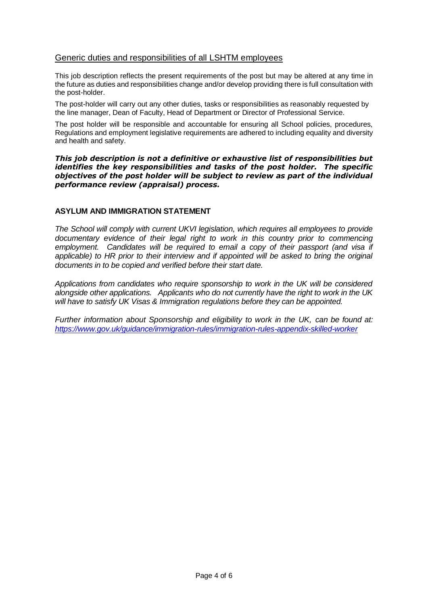# Generic duties and responsibilities of all LSHTM employees

This job description reflects the present requirements of the post but may be altered at any time in the future as duties and responsibilities change and/or develop providing there is full consultation with the post-holder.

The post-holder will carry out any other duties, tasks or responsibilities as reasonably requested by the line manager, Dean of Faculty, Head of Department or Director of Professional Service.

The post holder will be responsible and accountable for ensuring all School policies, procedures, Regulations and employment legislative requirements are adhered to including equality and diversity and health and safety.

*This job description is not a definitive or exhaustive list of responsibilities but identifies the key responsibilities and tasks of the post holder. The specific objectives of the post holder will be subject to review as part of the individual performance review (appraisal) process.*

## **ASYLUM AND IMMIGRATION STATEMENT**

*The School will comply with current UKVI legislation, which requires all employees to provide*  documentary evidence of their legal right to work in this country prior to commencing employment. Candidates will be required to email a copy of their passport (and visa if applicable) to HR prior to their interview and if appointed will be asked to bring the original *documents in to be copied and verified before their start date.* 

*Applications from candidates who require sponsorship to work in the UK will be considered alongside other applications. Applicants who do not currently have the right to work in the UK will have to satisfy UK Visas & Immigration regulations before they can be appointed.* 

*Further information about Sponsorship and eligibility to work in the UK, can be found at: <https://www.gov.uk/guidance/immigration-rules/immigration-rules-appendix-skilled-worker>*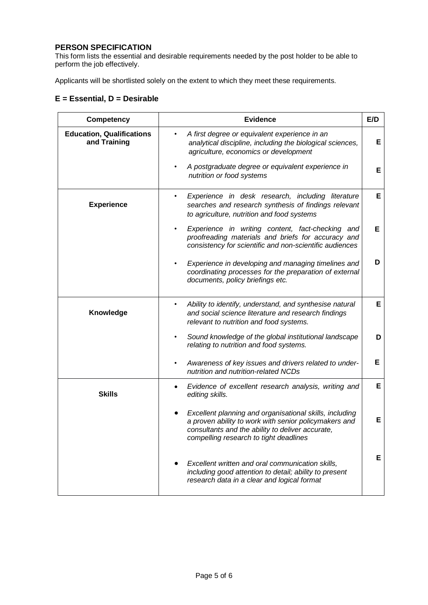# **PERSON SPECIFICATION**

This form lists the essential and desirable requirements needed by the post holder to be able to perform the job effectively.

Applicants will be shortlisted solely on the extent to which they meet these requirements.

# **E = Essential, D = Desirable**

| Competency                                       | <b>Evidence</b>                                                                                                                                                                                                | E/D |
|--------------------------------------------------|----------------------------------------------------------------------------------------------------------------------------------------------------------------------------------------------------------------|-----|
| <b>Education, Qualifications</b><br>and Training | A first degree or equivalent experience in an<br>analytical discipline, including the biological sciences,<br>agriculture, economics or development                                                            | Е   |
|                                                  | A postgraduate degree or equivalent experience in<br>nutrition or food systems                                                                                                                                 | Е   |
| <b>Experience</b>                                | Experience in desk research, including literature<br>searches and research synthesis of findings relevant<br>to agriculture, nutrition and food systems                                                        | Е   |
|                                                  | Experience in writing content, fact-checking and<br>proofreading materials and briefs for accuracy and<br>consistency for scientific and non-scientific audiences                                              | Е   |
|                                                  | Experience in developing and managing timelines and<br>coordinating processes for the preparation of external<br>documents, policy briefings etc.                                                              | D   |
| Knowledge                                        | Ability to identify, understand, and synthesise natural<br>$\bullet$<br>and social science literature and research findings<br>relevant to nutrition and food systems.                                         | E   |
|                                                  | Sound knowledge of the global institutional landscape<br>relating to nutrition and food systems.                                                                                                               | D   |
|                                                  | Awareness of key issues and drivers related to under-<br>nutrition and nutrition-related NCDs                                                                                                                  | Е   |
| <b>Skills</b>                                    | Evidence of excellent research analysis, writing and<br>editing skills.                                                                                                                                        | Е   |
|                                                  | Excellent planning and organisational skills, including<br>a proven ability to work with senior policymakers and<br>consultants and the ability to deliver accurate,<br>compelling research to tight deadlines | E   |
|                                                  | Excellent written and oral communication skills,<br>including good attention to detail; ability to present<br>research data in a clear and logical format                                                      | Е   |